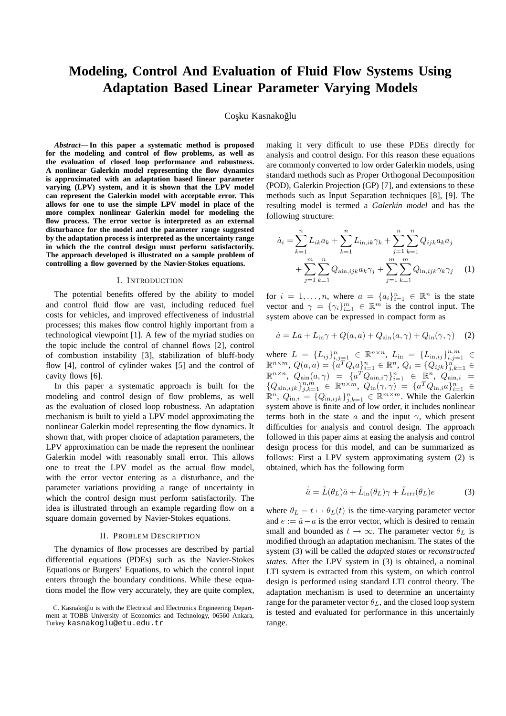# **Modeling, Control And Evaluation of Fluid Flow Systems Using Adaptation Based Linear Parameter Varying Models**

## Coşku Kasnakoğlu

*Abstract***— In this paper a systematic method is proposed for the modeling and control of flow problems, as well as the evaluation of closed loop performance and robustness. A nonlinear Galerkin model representing the flow dynamics is approximated with an adaptation based linear parameter varying (LPV) system, and it is shown that the LPV model can represent the Galerkin model with acceptable error. This allows for one to use the simple LPV model in place of the more complex nonlinear Galerkin model for modeling the flow process. The error vector is interpreted as an external disturbance for the model and the parameter range suggested by the adaptation process is interpreted as the uncertainty range in which the the control design must perform satisfactorily. The approach developed is illustrated on a sample problem of controlling a flow governed by the Navier-Stokes equations.**

## I. INTRODUCTION

The potential benefits offered by the ability to model and control fluid flow are vast, including reduced fuel costs for vehicles, and improved effectiveness of industrial processes; this makes flow control highly important from a technological viewpoint [1]. A few of the myriad studies on the topic include the control of channel flows [2], control of combustion instability [3], stabilization of bluff-body flow [4], control of cylinder wakes [5] and the control of cavity flows [6].

In this paper a systematic approach is built for the modeling and control design of flow problems, as well as the evaluation of closed loop robustness. An adaptation mechanism is built to yield a LPV model approximating the nonlinear Galerkin model representing the flow dynamics. It shown that, with proper choice of adaptation parameters, the LPV approximation can be made the represent the nonlinear Galerkin model with reasonably small error. This allows one to treat the LPV model as the actual flow model, with the error vector entering as a disturbance, and the parameter variations providing a range of uncertainty in which the control design must perform satisfactorily. The idea is illustrated through an example regarding flow on a square domain governed by Navier-Stokes equations.

#### II. PROBLEM DESCRIPTION

The dynamics of flow processes are described by partial differential equations (PDEs) such as the Navier-Stokes Equations or Burgers' Equations, to which the control input enters through the boundary conditions. While these equations model the flow very accurately, they are quite complex, making it very difficult to use these PDEs directly for analysis and control design. For this reason these equations are commonly converted to low order Galerkin models, using standard methods such as Proper Orthogonal Decomposition (POD), Galerkin Projection (GP) [7], and extensions to these methods such as Input Separation techniques [8], [9]. The resulting model is termed a *Galerkin model* and has the following structure:

$$
\dot{a}_{i} = \sum_{k=1}^{n} L_{ik} a_{k} + \sum_{k=1}^{n} L_{in,ik} \gamma_{k} + \sum_{j=1}^{n} \sum_{k=1}^{n} Q_{ijk} a_{k} a_{j} + \sum_{j=1}^{m} \sum_{k=1}^{n} Q_{\text{ain},ijk} a_{k} \gamma_{j} + \sum_{j=1}^{m} \sum_{k=1}^{m} Q_{\text{in},ijk} \gamma_{k} \gamma_{j} \qquad (1)
$$

for  $i = 1, ..., n$ , where  $a = \{a_i\}_{i=1}^n \in \mathbb{R}^n$  is the state vector and  $\gamma = {\gamma_i}_{i=1}^m \in \mathbb{R}^m$  is the control input. The system above can be expressed in compact form as

$$
\dot{a} = La + L_{\rm in}\gamma + Q(a, a) + Q_{\rm aim}(a, \gamma) + Q_{\rm in}(\gamma, \gamma) \tag{2}
$$

where  $L = \{L_{ij}\}_{i,j=1}^n \in \mathbb{R}^{n \times n}$ ,  $L_{\text{in}} = \{L_{\text{in},ij}\}_{i,j=1}^{n,m} \in \mathbb{R}^{n \times m}$ ,  $Q(a, a) = \{a^T Q_i a\}_{i=1}^n \in \mathbb{R}^n$ ,  $Q_i = \{Q_{ijk}\}_{j,k=1}^n \in \mathbb{R}^{n}$  $\mathbb{R}^{n \times n}$ ,  $Q_{\text{ain}}(a, \gamma) = \{a^T Q_{\text{ain},i} \gamma\}_{i=1}^n \in \mathbb{R}^n$ ,  $Q_{\text{ain},i}^{(n)} =$  ${Q_{\text{ain},ijk}}_{j,k=1}^{n,m} \in \mathbb{R}^{n \times m}, Q_{\text{in}}(\gamma, \gamma) = {a^T Q_{\text{in},i} a}_{i=1}^{n} \in \mathbb{R}^{n}, Q_{\text{in},i} = {Q_{\text{in},ijk}}_{j,k=1}^{n} \in \mathbb{R}^{m \times m}$ . While the Galerkin system above is finite and of low order, it includes nonlinear terms both in the state a and the input  $\gamma$ , which present difficulties for analysis and control design. The approach followed in this paper aims at easing the analysis and control design process for this model, and can be summarized as follows: First a LPV system approximating system (2) is obtained, which has the following form

$$
\dot{\hat{a}} = \hat{L}(\theta_L)\hat{a} + \hat{L}_{\text{in}}(\theta_L)\gamma + \hat{L}_{\text{err}}(\theta_L)e \tag{3}
$$

where  $\theta_L = t \mapsto \theta_L(t)$  is the time-varying parameter vector and  $e := \hat{a} - a$  is the error vector, which is desired to remain small and bounded as  $t \to \infty$ . The parameter vector  $\theta_L$  is modified through an adaptation mechanism. The states of the system (3) will be called the *adapted states* or *reconstructed states*. After the LPV system in (3) is obtained, a nominal LTI system is extracted from this system, on which control design is performed using standard LTI control theory. The adaptation mechanism is used to determine an uncertainty range for the parameter vector  $\theta_L$ , and the closed loop system is tested and evaluated for performance in this uncertainly range.

C. Kasnakoğlu is with the Electrical and Electronics Engineering Department at TOBB University of Economics and Technology, 06560 Ankara, Turkey kasnakoglu@etu.edu.tr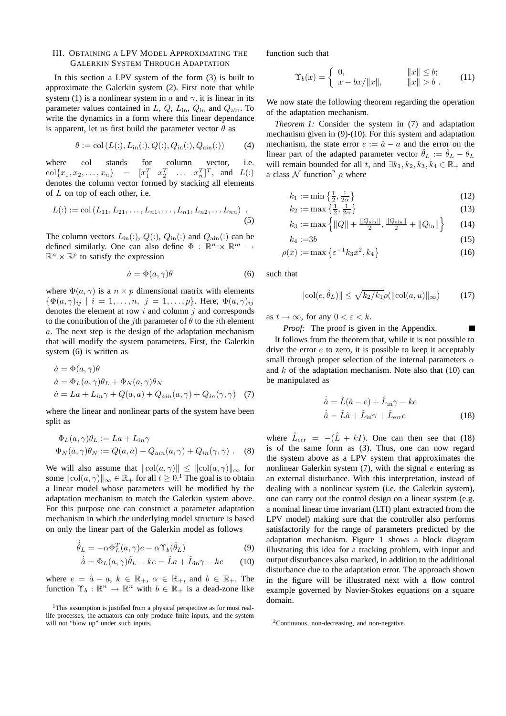# III. OBTAINING A LPV MODEL APPROXIMATING THE GALERKIN SYSTEM THROUGH ADAPTATION

In this section a LPV system of the form (3) is built to approximate the Galerkin system (2). First note that while system (1) is a nonlinear system in a and  $\gamma$ , it is linear in its parameter values contained in  $L$ ,  $Q$ ,  $L_{\text{in}}$ ,  $Q_{\text{in}}$  and  $Q_{\text{ain}}$ . To write the dynamics in a form where this linear dependance is apparent, let us first build the parameter vector  $\theta$  as

$$
\theta := \text{col}(L(:,, L_{\text{in}}(:,, Q(:,, Q_{\text{in}}(:,, Q_{\text{ain}}(:,)))
$$
 (4)

where col stands for column vector, i.e.  $col{x_1, x_2, ..., x_n} = [x_1^T \ x_2^T \ \dots \ x_n^T]^T$ , and  $L($ :) denotes the column vector formed by stacking all elements of L on top of each other, i.e.

$$
L(:):=\text{col}(L_{11},L_{21},\ldots,L_{n1},\ldots,L_{n1},L_{n2},\ldots L_{nn})\tag{5}
$$

The column vectors  $L_{\text{in}}(:, Q(:, Q_{\text{in}}(:, \text{ and } Q_{\text{ain}}(:, \text{ can be}$ defined similarly. One can also define  $\Phi : \mathbb{R}^n \times \mathbb{R}^m \to$  $\mathbb{R}^n \times \mathbb{R}^p$  to satisfy the expression

$$
\dot{a} = \Phi(a, \gamma)\theta \tag{6}
$$

where  $\Phi(a, \gamma)$  is a  $n \times p$  dimensional matrix with elements  $\{\Phi(a,\gamma)_{ij} \mid i = 1,\ldots,n, j = 1,\ldots,p\}$ . Here,  $\Phi(a,\gamma)_{ij}$ denotes the element at row  $i$  and column  $j$  and corresponds to the contribution of the *j*th parameter of  $\theta$  to the *i*th element a. The next step is the design of the adaptation mechanism that will modify the system parameters. First, the Galerkin system (6) is written as

$$
\begin{aligned}\n\dot{a} &= \Phi(a, \gamma)\theta \\
\dot{a} &= \Phi_L(a, \gamma)\theta_L + \Phi_N(a, \gamma)\theta_N \\
\dot{a} &= La + L_{in}\gamma + Q(a, a) + Q_{ain}(a, \gamma) + Q_{in}(\gamma, \gamma)\n\end{aligned}
$$
(7)

where the linear and nonlinear parts of the system have been split as

$$
\Phi_L(a, \gamma)\theta_L := La + L_{in}\gamma
$$
  
\n
$$
\Phi_N(a, \gamma)\theta_N := Q(a, a) + Q_{ain}(a, \gamma) + Q_{in}(\gamma, \gamma)
$$
 (8)

We will also assume that  $\Vert \text{col}(a, \gamma) \Vert \leq \Vert \text{col}(a, \gamma) \Vert_{\infty}$  for some  $\Vert \text{col}(a, \gamma) \Vert_{\infty} \in \mathbb{R}_+$  for all  $t \geq 0$ .<sup>1</sup> The goal is to obtain a linear model whose parameters will be modified by the adaptation mechanism to match the Galerkin system above. For this purpose one can construct a parameter adaptation mechanism in which the underlying model structure is based on only the linear part of the Galerkin model as follows

$$
\dot{\hat{\theta}}_L = -\alpha \Phi_L^T(a, \gamma) e - \alpha \Upsilon_b(\hat{\theta}_L)
$$
\n(9)

$$
\dot{\hat{a}} = \Phi_L(a, \gamma)\hat{\theta}_L - ke = \hat{L}a + \hat{L}_{\text{in}}\gamma - ke \qquad (10)
$$

where  $e = \hat{a} - a$ ,  $k \in \mathbb{R}_+$ ,  $\alpha \in \mathbb{R}_+$ , and  $b \in \mathbb{R}_+$ . The function  $\Upsilon_b : \mathbb{R}^n \to \mathbb{R}^n$  with  $b \in \mathbb{R}_+$  is a dead-zone like function such that

$$
\Upsilon_b(x) = \begin{cases} 0, & \|x\| \le b; \\ x - bx/\|x\|, & \|x\| > b. \end{cases} \tag{11}
$$

We now state the following theorem regarding the operation of the adaptation mechanism.

*Theorem 1:* Consider the system in (7) and adaptation mechanism given in (9)-(10). For this system and adaptation mechanism, the state error  $e := \hat{a} - a$  and the error on the linear part of the adapted parameter vector  $\hat{\theta}_L := \hat{\theta}_L - \theta_L$ will remain bounded for all t, and  $\exists k_1, k_2, k_3, k_4 \in \mathbb{R}_+$  and a class  $\mathcal N$  function<sup>2</sup>  $\rho$  where

$$
k_1 := \min\left\{\frac{1}{2}, \frac{1}{2\alpha}\right\} \tag{12}
$$

$$
k_2 := \max\left\{\frac{1}{2}, \frac{1}{2\alpha}\right\} \tag{13}
$$

$$
k_3 := \max\left\{ \|Q\| + \frac{\|Q_{\text{ain}}\|}{2}, \frac{\|Q_{\text{ain}}\|}{2} + \|Q_{\text{in}}\| \right\} \tag{14}
$$

$$
k_4 := 3b \tag{15}
$$

$$
\rho(x) := \max\left\{ \varepsilon^{-1} k_3 x^2, k_4 \right\} \tag{16}
$$

such that

$$
\|\text{col}(e,\tilde{\theta}_L)\| \le \sqrt{k_2/k_1} \rho(\|\text{col}(a,u)\|_{\infty}) \tag{17}
$$

as  $t \to \infty$ , for any  $0 < \varepsilon < k$ .

*Proof:* The proof is given in the Appendix.

It follows from the theorem that, while it is not possible to drive the error  $e$  to zero, it is possible to keep it acceptably small through proper selection of the internal parameters  $\alpha$ and  $k$  of the adaptation mechanism. Note also that  $(10)$  can be manipulated as

$$
\begin{aligned}\n\dot{\hat{a}} &= \hat{L}(\hat{a} - e) + \hat{L}_{\text{in}}\gamma - ke \\
\dot{\hat{a}} &= \hat{L}\hat{a} + \hat{L}_{\text{in}}\gamma + \hat{L}_{\text{err}}e\n\end{aligned} \tag{18}
$$

where  $\hat{L}_{err} = -(\hat{L} + kI)$ . One can then see that (18) is of the same form as (3). Thus, one can now regard the system above as a LPV system that approximates the nonlinear Galerkin system  $(7)$ , with the signal  $e$  entering as an external disturbance. With this interpretation, instead of dealing with a nonlinear system (i.e. the Galerkin system), one can carry out the control design on a linear system (e.g. a nominal linear time invariant (LTI) plant extracted from the LPV model) making sure that the controller also performs satisfactorily for the range of parameters predicted by the adaptation mechanism. Figure 1 shows a block diagram illustrating this idea for a tracking problem, with input and output disturbances also marked, in addition to the additional disturbance due to the adaptation error. The approach shown in the figure will be illustrated next with a flow control example governed by Navier-Stokes equations on a square domain.

<sup>&</sup>lt;sup>1</sup>This assumption is justified from a physical perspective as for most reallife processes, the actuators can only produce finite inputs, and the system will not "blow up" under such inputs.

 ${}^{2}$ Continuous, non-decreasing, and non-negative.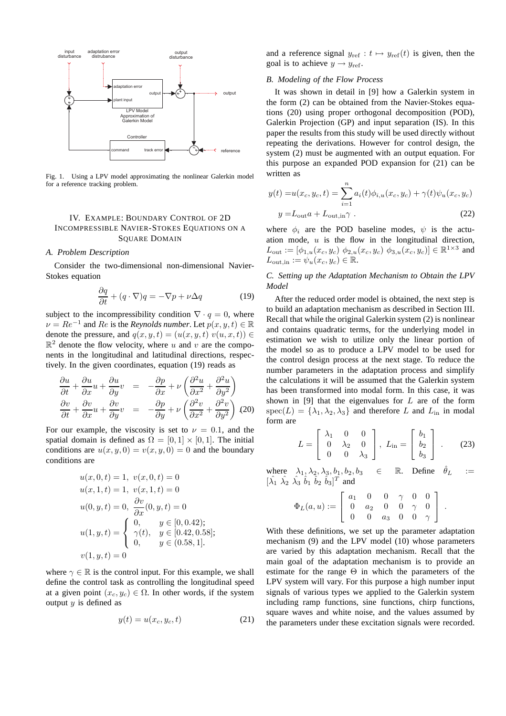

Fig. 1. Using a LPV model approximating the nonlinear Galerkin model for a reference tracking problem.

# IV. EXAMPLE: BOUNDARY CONTROL OF 2D INCOMPRESSIBLE NAVIER-STOKES EQUATIONS ON A **SOUARE DOMAIN**

## *A. Problem Description*

Consider the two-dimensional non-dimensional Navier-Stokes equation

$$
\frac{\partial q}{\partial t} + (q \cdot \nabla)q = -\nabla p + \nu \Delta q \tag{19}
$$

subject to the incompressibility condition  $\nabla \cdot q = 0$ , where  $\nu = Re^{-1}$  and  $Re$  is the *Reynolds number*. Let  $p(x, y, t) \in \mathbb{R}$ denote the pressure, and  $q(x, y, t) = (u(x, y, t) v(u, x, t)) \in$  $\mathbb{R}^2$  denote the flow velocity, where u and v are the components in the longitudinal and latitudinal directions, respectively. In the given coordinates, equation (19) reads as

$$
\frac{\partial u}{\partial t} + \frac{\partial u}{\partial x} u + \frac{\partial u}{\partial y} v = -\frac{\partial p}{\partial x} + \nu \left( \frac{\partial^2 u}{\partial x^2} + \frac{\partial^2 u}{\partial y^2} \right)
$$

$$
\frac{\partial v}{\partial t} + \frac{\partial v}{\partial x} u + \frac{\partial v}{\partial y} v = -\frac{\partial p}{\partial y} + \nu \left( \frac{\partial^2 v}{\partial x^2} + \frac{\partial^2 v}{\partial y^2} \right) (20)
$$

For our example, the viscosity is set to  $\nu = 0.1$ , and the spatial domain is defined as  $\Omega = [0, 1] \times [0, 1]$ . The initial conditions are  $u(x, y, 0) = v(x, y, 0) = 0$  and the boundary conditions are

$$
u(x, 0, t) = 1, v(x, 0, t) = 0
$$
  
\n
$$
u(x, 1, t) = 1, v(x, 1, t) = 0
$$
  
\n
$$
u(0, y, t) = 0, \frac{\partial v}{\partial x}(0, y, t) = 0
$$
  
\n
$$
u(1, y, t) = \begin{cases} 0, & y \in [0, 0.42); \\ \gamma(t), & y \in [0.42, 0.58]; \\ 0, & y \in (0.58, 1]. \end{cases}
$$
  
\n
$$
v(1, y, t) = 0
$$

where  $\gamma \in \mathbb{R}$  is the control input. For this example, we shall define the control task as controlling the longitudinal speed at a given point  $(x_c, y_c) \in \Omega$ . In other words, if the system output  $y$  is defined as

$$
y(t) = u(x_c, y_c, t) \tag{21}
$$

and a reference signal  $y_{ref} : t \mapsto y_{ref}(t)$  is given, then the goal is to achieve  $y \rightarrow y_{ref}$ .

## *B. Modeling of the Flow Process*

It was shown in detail in [9] how a Galerkin system in the form (2) can be obtained from the Navier-Stokes equations (20) using proper orthogonal decomposition (POD), Galerkin Projection (GP) and input separation (IS). In this paper the results from this study will be used directly without repeating the derivations. However for control design, the system (2) must be augmented with an output equation. For this purpose an expanded POD expansion for (21) can be written as

$$
y(t) = u(x_c, y_c, t) = \sum_{i=1}^{n} a_i(t)\phi_{i,u}(x_c, y_c) + \gamma(t)\psi_u(x_c, y_c)
$$
  

$$
y = L_{\text{out}}a + L_{\text{out,in}}\gamma
$$
 (22)

where  $\phi_i$  are the POD baseline modes,  $\psi$  is the actuation mode,  $u$  is the flow in the longitudinal direction,  $L_{\text{out}} := [\phi_{1,u}(x_c, y_c) \phi_{2,u}(x_c, y_c) \phi_{3,u}(x_c, y_c)] \in \mathbb{R}^{1 \times 3}$  and  $L_{\text{out,in}} := \psi_u(x_c, y_c) \in \mathbb{R}.$ 

*C. Setting up the Adaptation Mechanism to Obtain the LPV Model*

After the reduced order model is obtained, the next step is to build an adaptation mechanism as described in Section III. Recall that while the original Galerkin system (2) is nonlinear and contains quadratic terms, for the underlying model in estimation we wish to utilize only the linear portion of the model so as to produce a LPV model to be used for the control design process at the next stage. To reduce the number parameters in the adaptation process and simplify the calculations it will be assumed that the Galerkin system has been transformed into modal form. In this case, it was shown in [9] that the eigenvalues for  $L$  are of the form  $spec(L) = {\lambda_1, \lambda_2, \lambda_3}$  and therefore L and L<sub>in</sub> in modal form are

$$
L = \begin{bmatrix} \lambda_1 & 0 & 0 \\ 0 & \lambda_2 & 0 \\ 0 & 0 & \lambda_3 \end{bmatrix}, L_{\text{in}} = \begin{bmatrix} b_1 \\ b_2 \\ b_3 \end{bmatrix} .
$$
 (23)

where  $\lambda_1, \lambda_2, \lambda_3, b_1, b_2, b_3 \in \mathbb{R}$ . Define  $\hat{\theta}_L$  :=  $[\hat{\lambda_1} \ \hat{\lambda_2} \ \hat{\lambda_3} \ \hat{b_1} \ \hat{b_2} \ \hat{b_3}]^T$  and

$$
\Phi_L(a,u):=\left[\begin{array}{cccccc} a_1 & 0 & 0 & \gamma & 0 & 0 \\ 0 & a_2 & 0 & 0 & \gamma & 0 \\ 0 & 0 & a_3 & 0 & 0 & \gamma \end{array}\right] \ .
$$

With these definitions, we set up the parameter adaptation mechanism (9) and the LPV model (10) whose parameters are varied by this adaptation mechanism. Recall that the main goal of the adaptation mechanism is to provide an estimate for the range  $\Theta$  in which the parameters of the LPV system will vary. For this purpose a high number input signals of various types we applied to the Galerkin system including ramp functions, sine functions, chirp functions, square waves and white noise, and the values assumed by the parameters under these excitation signals were recorded.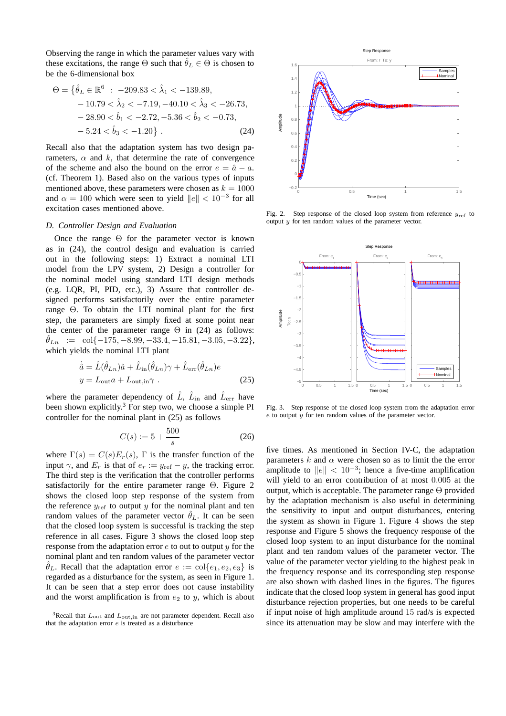Observing the range in which the parameter values vary with these excitations, the range  $\Theta$  such that  $\hat{\theta}_L \in \Theta$  is chosen to be the 6-dimensional box

$$
\Theta = \{\hat{\theta}_L \in \mathbb{R}^6 : -209.83 < \hat{\lambda}_1 < -139.89, \\
-10.79 < \hat{\lambda}_2 < -7.19, -40.10 < \hat{\lambda}_3 < -26.73, \\
-28.90 < \hat{b}_1 < -2.72, -5.36 < \hat{b}_2 < -0.73, \\
-5.24 < \hat{b}_3 < -1.20\} .
$$
\n(24)

Recall also that the adaptation system has two design parameters,  $\alpha$  and k, that determine the rate of convergence of the scheme and also the bound on the error  $e = \hat{a} - a$ . (cf. Theorem 1). Based also on the various types of inputs mentioned above, these parameters were chosen as  $k = 1000$ and  $\alpha = 100$  which were seen to yield  $||e|| < 10^{-3}$  for all excitation cases mentioned above.

## *D. Controller Design and Evaluation*

Once the range  $\Theta$  for the parameter vector is known as in (24), the control design and evaluation is carried out in the following steps: 1) Extract a nominal LTI model from the LPV system, 2) Design a controller for the nominal model using standard LTI design methods (e.g. LQR, PI, PID, etc.), 3) Assure that controller designed performs satisfactorily over the entire parameter range Θ. To obtain the LTI nominal plant for the first step, the parameters are simply fixed at some point near the center of the parameter range  $\Theta$  in (24) as follows:  $\hat{\theta}_{Ln}$  := col{-175, -8.99, -33.4, -15.81, -3.05, -3.22}, which yields the nominal LTI plant

$$
\dot{\hat{a}} = \hat{L}(\hat{\theta}_{Ln})\hat{a} + \hat{L}_{in}(\hat{\theta}_{Ln})\gamma + \hat{L}_{err}(\hat{\theta}_{Ln})e
$$
  

$$
y = L_{out}a + L_{out,in}\gamma
$$
 (25)

where the parameter dependency of  $\hat{L}$ ,  $\hat{L}_{\text{in}}$  and  $\hat{L}_{\text{err}}$  have been shown explicitly.<sup>3</sup> For step two, we choose a simple PI controller for the nominal plant in (25) as follows

$$
C(s) := 5 + \frac{500}{s}
$$
 (26)

where  $\Gamma(s) = C(s)E_r(s)$ , Γ is the transfer function of the input  $\gamma$ , and  $E_r$  is that of  $e_r := y_{\text{ref}} - y$ , the tracking error. The third step is the verification that the controller performs satisfactorily for the entire parameter range Θ. Figure 2 shows the closed loop step response of the system from the reference  $y_{ref}$  to output y for the nominal plant and ten random values of the parameter vector  $\hat{\theta}_L$ . It can be seen that the closed loop system is successful is tracking the step reference in all cases. Figure 3 shows the closed loop step response from the adaptation error  $e$  to out to output  $u$  for the nominal plant and ten random values of the parameter vector  $\hat{\theta}_L$ . Recall that the adaptation error  $e := \text{col}\{e_1, e_2, e_3\}$  is regarded as a disturbance for the system, as seen in Figure 1. It can be seen that a step error does not cause instability and the worst amplification is from  $e_2$  to y, which is about



Fig. 2. Step response of the closed loop system from reference  $y_{ref}$  to output  $y$  for ten random values of the parameter vector.



Fig. 3. Step response of the closed loop system from the adaptation error  $e$  to output  $\hat{y}$  for ten random values of the parameter vector.

five times. As mentioned in Section IV-C, the adaptation parameters k and  $\alpha$  were chosen so as to limit the the error amplitude to  $||e|| < 10^{-3}$ ; hence a five-time amplification will yield to an error contribution of at most 0.005 at the output, which is acceptable. The parameter range  $\Theta$  provided by the adaptation mechanism is also useful in determining the sensitivity to input and output disturbances, entering the system as shown in Figure 1. Figure 4 shows the step response and Figure 5 shows the frequency response of the closed loop system to an input disturbance for the nominal plant and ten random values of the parameter vector. The value of the parameter vector yielding to the highest peak in the frequency response and its corresponding step response are also shown with dashed lines in the figures. The figures indicate that the closed loop system in general has good input disturbance rejection properties, but one needs to be careful if input noise of high amplitude around 15 rad/s is expected since its attenuation may be slow and may interfere with the

<sup>&</sup>lt;sup>3</sup>Recall that  $L_{\text{out}}$  and  $L_{\text{out,in}}$  are not parameter dependent. Recall also that the adaptation error e is treated as a disturbance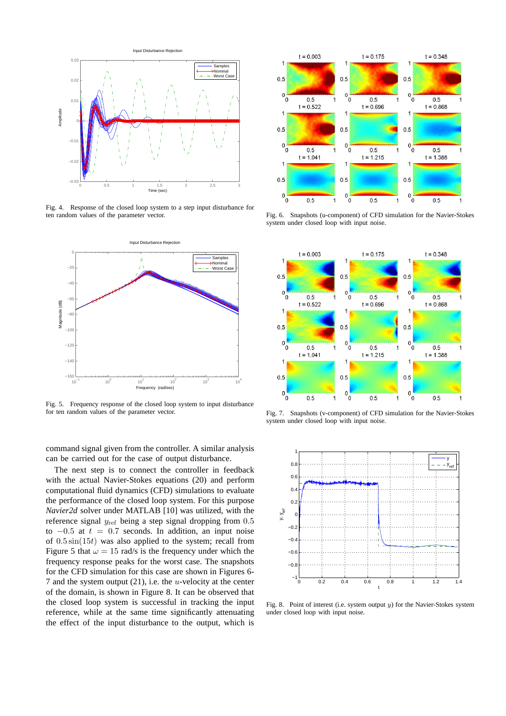

Fig. 4. Response of the closed loop system to a step input disturbance for ten random values of the parameter vector.



Fig. 5. Frequency response of the closed loop system to input disturbance for ten random values of the parameter vector.

command signal given from the controller. A similar analysis can be carried out for the case of output disturbance.

The next step is to connect the controller in feedback with the actual Navier-Stokes equations (20) and perform computational fluid dynamics (CFD) simulations to evaluate the performance of the closed loop system. For this purpose *Navier2d* solver under MATLAB [10] was utilized, with the reference signal  $y_{ref}$  being a step signal dropping from  $0.5$ to  $-0.5$  at  $t = 0.7$  seconds. In addition, an input noise of  $0.5 \sin(15t)$  was also applied to the system; recall from Figure 5 that  $\omega = 15$  rad/s is the frequency under which the frequency response peaks for the worst case. The snapshots for the CFD simulation for this case are shown in Figures 6- 7 and the system output  $(21)$ , i.e. the *u*-velocity at the center of the domain, is shown in Figure 8. It can be observed that the closed loop system is successful in tracking the input reference, while at the same time significantly attenuating the effect of the input disturbance to the output, which is



Fig. 6. Snapshots (u-component) of CFD simulation for the Navier-Stokes system under closed loop with input noise.



Fig. 7. Snapshots (v-component) of CFD simulation for the Navier-Stokes system under closed loop with input noise.



Fig. 8. Point of interest (i.e. system output  $y$ ) for the Navier-Stokes system under closed loop with input noise.